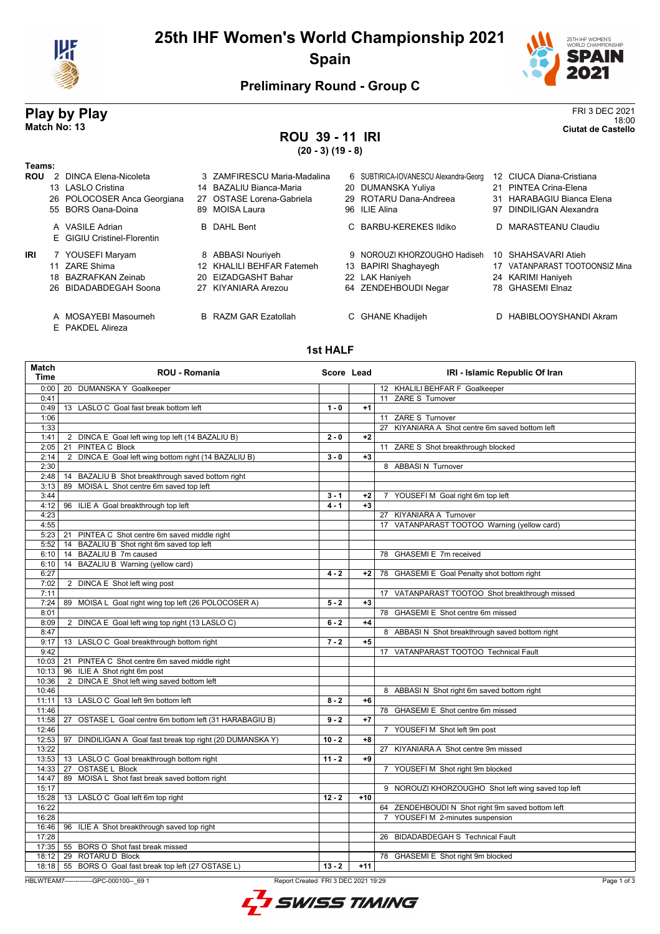

# **25th IHF Women's World Championship 2021 Spain**



## **Preliminary Round - Group C**

## **Play by Play** FRI 3 DEC 2021 18:00 **Match No: 13 Ciutat de Castello**

# **ROU 39 - 11 IRI**

**(20 - 3) (19 - 8)**

| Teams:     |               |                                                |     |                             |   |                                       |    |                             |
|------------|---------------|------------------------------------------------|-----|-----------------------------|---|---------------------------------------|----|-----------------------------|
| <b>ROU</b> | $\mathcal{P}$ | DINCA Elena-Nicoleta                           |     | 3 ZAMFIRESCU Maria-Madalina |   | 6 SUBTIRICA-IOVANESCU Alexandra-Georg |    | 12 CIUCA Diana-Cristiana    |
|            |               | 13 LASLO Cristina                              |     | 14 BAZALIU Bianca-Maria     |   | 20 DUMANSKA Yuliya                    |    | 21 PINTEA Crina-Elena       |
|            |               | 26 POLOCOSER Anca Georgiana                    | 27  | OSTASE Lorena-Gabriela      |   | 29 ROTARU Dana-Andreea                | 31 | HARABAGIU Bianca Elena      |
|            |               | 55 BORS Oana-Doina                             |     | 89 MOISA Laura              |   | 96 ILIE Alina                         | 97 | DINDILIGAN Alexandra        |
|            |               | A VASILE Adrian<br>E GIGIU Cristinel-Florentin |     | <b>B</b> DAHL Bent          |   | C BARBU-KEREKES Ildiko                |    | D MARASTEANU Claudiu        |
| IRI        |               | 7 YOUSEFI Maryam                               |     | 8 ABBASI Nouriyeh           | g | NOROUZI KHORZOUGHO Hadiseh            | 10 | SHAHSAVARI Atieh            |
|            | 11            | ZARE Shima                                     |     | 12 KHALILI BEHFAR Fatemeh   |   | 13 BAPIRI Shaghayegh                  |    | VATANPARAST TOOTOONSIZ Mina |
|            | 18            | BAZRAFKAN Zeinab                               | 20. | EIZADGASHT Bahar            |   | 22 LAK Haniyeh                        |    | 24 KARIMI Haniyeh           |
|            |               | 26 BIDADABDEGAH Soona                          | 27  | KIYANIARA Arezou            |   | 64 ZENDEHBOUDI Negar                  |    | 78 GHASEMI Elnaz            |
|            |               | A MOSAYEBI Masoumeh                            |     | <b>B</b> RAZM GAR Ezatollah |   | C GHANE Khadijeh                      |    | D HABIBLOOYSHANDI Akram     |

E PAKDEL Alireza

#### **1st HALF**

| <b>Match</b><br>Time | <b>ROU - Romania</b>                                         | Score Lead |       | IRI - Islamic Republic Of Iran                     |
|----------------------|--------------------------------------------------------------|------------|-------|----------------------------------------------------|
| 0:00                 | DUMANSKA Y Goalkeeper<br>20                                  |            |       | 12 KHALILI BEHFAR F Goalkeeper                     |
| 0:41                 |                                                              |            |       | 11 ZARE S Turnover                                 |
| 0:49                 | 13 LASLO C Goal fast break bottom left                       | $1 - 0$    | $+1$  |                                                    |
| 1:06                 |                                                              |            |       | 11 ZARE S Turnover                                 |
| 1:33                 |                                                              |            |       | 27 KIYANIARA A Shot centre 6m saved bottom left    |
| 1:41                 | 2 DINCA E Goal left wing top left (14 BAZALIU B)             | $2 - 0$    | $+2$  |                                                    |
| 2:05                 | PINTEA C Block<br>21                                         |            |       | 11 ZARE S Shot breakthrough blocked                |
| 2:14                 | 2 DINCA E Goal left wing bottom right (14 BAZALIU B)         | $3 - 0$    | $+3$  |                                                    |
| 2:30                 |                                                              |            |       | 8 ABBASIN Turnover                                 |
| 2:48                 | 14 BAZALIU B Shot breakthrough saved bottom right            |            |       |                                                    |
| 3:13                 | MOISA L Shot centre 6m saved top left<br>89                  |            |       |                                                    |
| 3:44                 |                                                              | $3 - 1$    | $+2$  | 7 YOUSEFIM Goal right 6m top left                  |
| 4:12                 | 96 ILIE A Goal breakthrough top left                         | $4 - 1$    | $+3$  |                                                    |
| 4:23                 |                                                              |            |       | 27 KIYANIARA A Turnover                            |
| 4:55                 |                                                              |            |       | 17 VATANPARAST TOOTOO Warning (yellow card)        |
| 5:23                 | 21<br>PINTEA C Shot centre 6m saved middle right             |            |       |                                                    |
| 5:52                 | BAZALIU B Shot right 6m saved top left<br>14                 |            |       |                                                    |
| 6:10                 | BAZALIU B 7m caused<br>14                                    |            |       | 78 GHASEMI E 7m received                           |
| 6:10                 | BAZALIU B Warning (yellow card)<br>14                        |            |       |                                                    |
| 6:27                 |                                                              | $4 - 2$    | $+2$  | 78 GHASEMI E Goal Penalty shot bottom right        |
| 7:02                 | 2 DINCA E Shot left wing post                                |            |       |                                                    |
| 7:11                 |                                                              |            |       | 17 VATANPARAST TOOTOO Shot breakthrough missed     |
| 7:24                 | 89 MOISA L Goal right wing top left (26 POLOCOSER A)         | $5 - 2$    | $+3$  |                                                    |
| 8:01                 |                                                              |            |       | 78 GHASEMI E Shot centre 6m missed                 |
| 8:09                 | 2 DINCA E Goal left wing top right (13 LASLO C)              | $6 - 2$    | $+4$  |                                                    |
| 8:47                 |                                                              |            |       | 8 ABBASI N Shot breakthrough saved bottom right    |
| 9:17                 | 13 LASLO C Goal breakthrough bottom right                    | $7 - 2$    | $+5$  |                                                    |
| 9:42                 |                                                              |            |       | 17 VATANPARAST TOOTOO Technical Fault              |
| 10:03                | 21 PINTEA C Shot centre 6m saved middle right                |            |       |                                                    |
| 10:13                | 96 ILIE A Shot right 6m post                                 |            |       |                                                    |
| 10:36                | DINCA E Shot left wing saved bottom left<br>2                |            |       |                                                    |
| 10:46                |                                                              |            |       | 8 ABBASI N Shot right 6m saved bottom right        |
| 11:11                | 13 LASLO C Goal left 9m bottom left                          | $8 - 2$    | $+6$  |                                                    |
| 11:46<br>11:58       | 27                                                           | $9 - 2$    | $+7$  | 78 GHASEMI E Shot centre 6m missed                 |
| 12:46                | OSTASE L Goal centre 6m bottom left (31 HARABAGIU B)         |            |       | 7 YOUSEFIM Shot left 9m post                       |
| 12:53                | DINDILIGAN A Goal fast break top right (20 DUMANSKA Y)<br>97 | $10 - 2$   | $+8$  |                                                    |
| 13:22                |                                                              |            |       | 27 KIYANIARA A Shot centre 9m missed               |
| 13:53                | 13 LASLO C Goal breakthrough bottom right                    | $11 - 2$   | $+9$  |                                                    |
| 14:33                | <b>OSTASE L Block</b><br>27                                  |            |       | 7 YOUSEFI M Shot right 9m blocked                  |
| 14:47                | 89 MOISA L Shot fast break saved bottom right                |            |       |                                                    |
| 15:17                |                                                              |            |       | 9 NOROUZI KHORZOUGHO Shot left wing saved top left |
| 15:28                | 13 LASLO C Goal left 6m top right                            | $12 - 2$   | $+10$ |                                                    |
| 16:22                |                                                              |            |       | 64 ZENDEHBOUDI N Shot right 9m saved bottom left   |
| 16:28                |                                                              |            |       | 7 YOUSEFI M 2-minutes suspension                   |
| 16:46                | 96 ILIE A Shot breakthrough saved top right                  |            |       |                                                    |
| 17:28                |                                                              |            |       | 26 BIDADABDEGAH S Technical Fault                  |
| 17:35                | 55 BORS O Shot fast break missed                             |            |       |                                                    |
| 18:12                | 29 ROTARU D Block                                            |            |       | 78 GHASEMI E Shot right 9m blocked                 |
| 18:18                | 55 BORS O Goal fast break top left (27 OSTASE L)             | $13 - 2$   | $+11$ |                                                    |
|                      |                                                              |            |       |                                                    |

HBLWTEAM7-------------GPC-000100--\_69 1 Report Created FRI 3 DEC 2021 19:29

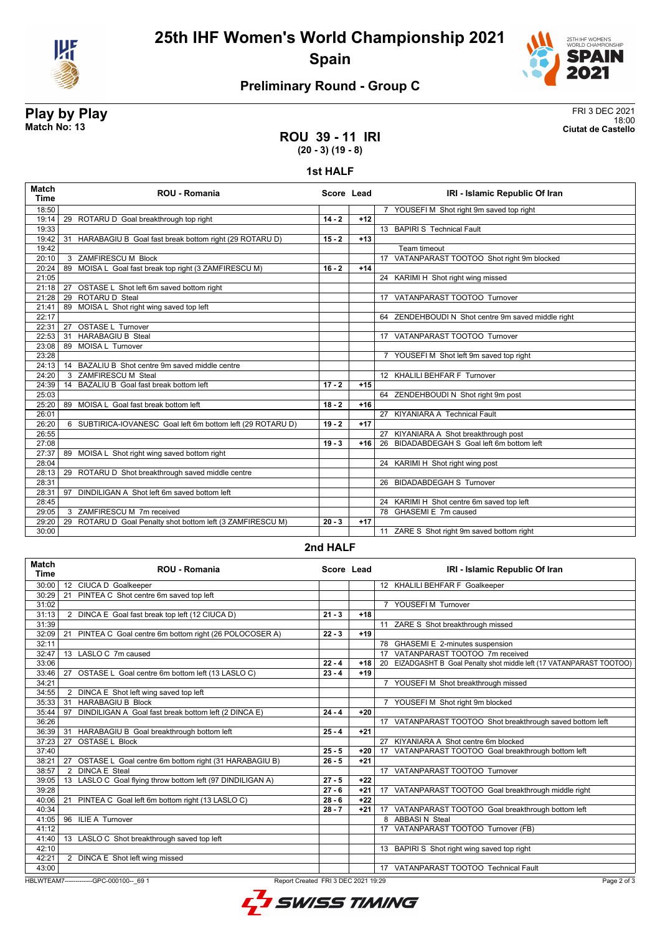



# **Preliminary Round - Group C**

### **Play by Play** FRI 3 DEC 2021 18:00 **Match No: 13 Ciutat de Castello**

## **ROU 39 - 11 IRI (20 - 3) (19 - 8)**

#### **1st HALF**

| <b>Match</b><br><b>Time</b> | <b>ROU - Romania</b>                                         | Score Lead |       | IRI - Islamic Republic Of Iran                     |
|-----------------------------|--------------------------------------------------------------|------------|-------|----------------------------------------------------|
| 18:50                       |                                                              |            |       | 7 YOUSEFI M Shot right 9m saved top right          |
| 19:14                       | 29 ROTARU D Goal breakthrough top right                      | $14 - 2$   | $+12$ |                                                    |
| 19:33                       |                                                              |            |       | 13 BAPIRI S Technical Fault                        |
| 19:42                       | HARABAGIU B Goal fast break bottom right (29 ROTARU D)<br>31 | $15 - 2$   | $+13$ |                                                    |
| 19:42                       |                                                              |            |       | Team timeout                                       |
| 20:10                       | 3 ZAMFIRESCU M Block                                         |            |       | 17 VATANPARAST TOOTOO Shot right 9m blocked        |
| 20:24                       | 89 MOISA L Goal fast break top right (3 ZAMFIRESCU M)        | $16 - 2$   | $+14$ |                                                    |
| 21:05                       |                                                              |            |       | 24 KARIMI H Shot right wing missed                 |
| 21:18                       | OSTASE L Shot left 6m saved bottom right<br>27               |            |       |                                                    |
| 21:28                       | 29 ROTARUD Steal                                             |            |       | 17 VATANPARAST TOOTOO Turnover                     |
| 21:41                       | 89 MOISA L Shot right wing saved top left                    |            |       |                                                    |
| 22:17                       |                                                              |            |       | 64 ZENDEHBOUDI N Shot centre 9m saved middle right |
| 22:31                       | OSTASE L Turnover<br>27                                      |            |       |                                                    |
| 22:53                       | <b>HARABAGIU B Steal</b><br>31                               |            |       | 17 VATANPARAST TOOTOO Turnover                     |
| 23:08                       | 89 MOISA L Turnover                                          |            |       |                                                    |
| 23:28                       |                                                              |            |       | 7 YOUSEFI M Shot left 9m saved top right           |
| 24:13                       | BAZALIU B Shot centre 9m saved middle centre<br>14           |            |       |                                                    |
| 24:20                       | 3 ZAMFIRESCU M Steal                                         |            |       | 12 KHALILI BEHFAR F Turnover                       |
| 24:39                       | 14 BAZALIU B Goal fast break bottom left                     | $17 - 2$   | $+15$ |                                                    |
| 25:03                       |                                                              |            |       | 64 ZENDEHBOUDI N Shot right 9m post                |
| 25:20                       | 89 MOISA L Goal fast break bottom left                       | $18 - 2$   | $+16$ |                                                    |
| 26:01                       |                                                              |            |       | 27 KIYANIARA A Technical Fault                     |
| 26:20                       | 6 SUBTIRICA-IOVANESC Goal left 6m bottom left (29 ROTARU D)  | $19 - 2$   | $+17$ |                                                    |
| 26:55                       |                                                              |            |       | 27 KIYANIARA A Shot breakthrough post              |
| 27:08                       |                                                              | $19 - 3$   | $+16$ | 26 BIDADABDEGAH S Goal left 6m bottom left         |
| 27:37                       | 89 MOISA L Shot right wing saved bottom right                |            |       |                                                    |
| 28:04                       |                                                              |            |       | 24 KARIMI H Shot right wing post                   |
| 28:13                       | 29 ROTARU D Shot breakthrough saved middle centre            |            |       |                                                    |
| 28:31                       |                                                              |            |       | 26 BIDADABDEGAH S Turnover                         |
| 28:31                       | DINDILIGAN A Shot left 6m saved bottom left<br>97            |            |       |                                                    |
| 28:45                       |                                                              |            |       | 24 KARIMI H Shot centre 6m saved top left          |
| 29:05                       | 3 ZAMFIRESCU M 7m received                                   |            |       | 78 GHASEMI E 7m caused                             |
| 29:20                       | 29 ROTARU D Goal Penalty shot bottom left (3 ZAMFIRESCU M)   | $20 - 3$   | $+17$ |                                                    |
| 30:00                       |                                                              |            |       | 11 ZARE S Shot right 9m saved bottom right         |

#### **2nd HALF**

| <b>Match</b><br><b>Time</b> | <b>ROU - Romania</b>                                                                           | Score Lead |       |  | IRI - Islamic Republic Of Iran                                        |  |
|-----------------------------|------------------------------------------------------------------------------------------------|------------|-------|--|-----------------------------------------------------------------------|--|
| 30:00                       | 12 CIUCA D Goalkeeper                                                                          |            |       |  | 12 KHALILI BEHFAR F Goalkeeper                                        |  |
| 30:29                       | 21 PINTEA C Shot centre 6m saved top left                                                      |            |       |  |                                                                       |  |
| 31:02                       |                                                                                                |            |       |  | 7 YOUSEFI M Turnover                                                  |  |
| 31:13                       | 2 DINCA E Goal fast break top left (12 CIUCA D)                                                | $21 - 3$   | $+18$ |  |                                                                       |  |
| 31:39                       |                                                                                                |            |       |  | 11 ZARE S Shot breakthrough missed                                    |  |
| 32:09                       | PINTEA C Goal centre 6m bottom right (26 POLOCOSER A)<br>21                                    | $22 - 3$   | $+19$ |  |                                                                       |  |
| 32:11                       |                                                                                                |            |       |  | 78 GHASEMI E 2-minutes suspension                                     |  |
| 32:47                       | 13 LASLO C 7m caused                                                                           |            |       |  | 17 VATANPARAST TOOTOO 7m received                                     |  |
| 33:06                       |                                                                                                | $22 - 4$   | $+18$ |  | 20 EIZADGASHT B Goal Penalty shot middle left (17 VATANPARAST TOOTOO) |  |
| 33:46                       | OSTASE L Goal centre 6m bottom left (13 LASLO C)<br>27                                         | $23 - 4$   | $+19$ |  |                                                                       |  |
| 34:21                       |                                                                                                |            |       |  | 7 YOUSEFI M Shot breakthrough missed                                  |  |
| 34:55                       | 2 DINCA E Shot left wing saved top left                                                        |            |       |  |                                                                       |  |
| 35:33                       | <b>HARABAGIU B Block</b><br>31                                                                 |            |       |  | 7 YOUSEFIM Shot right 9m blocked                                      |  |
| 35:44                       | DINDILIGAN A Goal fast break bottom left (2 DINCA E)<br>97                                     | $24 - 4$   | $+20$ |  |                                                                       |  |
| 36:26                       |                                                                                                |            |       |  | 17 VATANPARAST TOOTOO Shot breakthrough saved bottom left             |  |
| 36:39                       | HARABAGIU B Goal breakthrough bottom left<br>31                                                | $25 - 4$   | $+21$ |  |                                                                       |  |
| 37:23                       | <b>OSTASE L Block</b><br>27                                                                    |            |       |  | 27 KIYANIARA A Shot centre 6m blocked                                 |  |
| 37:40                       |                                                                                                | $25 - 5$   | $+20$ |  | 17 VATANPARAST TOOTOO Goal breakthrough bottom left                   |  |
| 38:21                       | 27 OSTASE L Goal centre 6m bottom right (31 HARABAGIU B)                                       | $26 - 5$   | $+21$ |  |                                                                       |  |
| 38:57                       | <b>DINCA E Steal</b><br>$\overline{2}$                                                         |            |       |  | 17 VATANPARAST TOOTOO Turnover                                        |  |
| 39:05                       | 13 LASLO C Goal flying throw bottom left (97 DINDILIGAN A)                                     | $27 - 5$   | $+22$ |  |                                                                       |  |
| 39:28                       |                                                                                                | $27 - 6$   | $+21$ |  | 17 VATANPARAST TOOTOO Goal breakthrough middle right                  |  |
| 40:06                       | 21 PINTEA C Goal left 6m bottom right (13 LASLO C)                                             | $28 - 6$   | $+22$ |  |                                                                       |  |
| 40:34                       |                                                                                                | $28 - 7$   | $+21$ |  | 17 VATANPARAST TOOTOO Goal breakthrough bottom left                   |  |
| 41:05                       | <b>ILIE A Turnover</b><br>96                                                                   |            |       |  | 8 ABBASIN Steal                                                       |  |
| 41:12                       |                                                                                                |            |       |  | 17 VATANPARAST TOOTOO Turnover (FB)                                   |  |
| 41:40                       | 13 LASLO C Shot breakthrough saved top left                                                    |            |       |  |                                                                       |  |
| 42:10                       |                                                                                                |            |       |  | 13 BAPIRI S Shot right wing saved top right                           |  |
| 42:21                       | 2 DINCA E Shot left wing missed                                                                |            |       |  |                                                                       |  |
| 43:00                       |                                                                                                |            |       |  | 17 VATANPARAST TOOTOO Technical Fault                                 |  |
|                             | HBLWTEAM7--------------GPC-000100-- 69 1<br>Report Created FRI 3 DEC 2021 19:29<br>Page 2 of 3 |            |       |  |                                                                       |  |